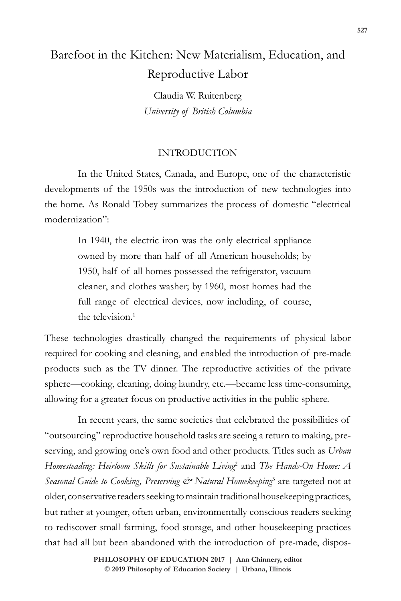# Barefoot in the Kitchen: New Materialism, Education, and Reproductive Labor

Claudia W. Ruitenberg *University of British Columbia*

## INTRODUCTION

In the United States, Canada, and Europe, one of the characteristic developments of the 1950s was the introduction of new technologies into the home. As Ronald Tobey summarizes the process of domestic "electrical modernization":

> In 1940, the electric iron was the only electrical appliance owned by more than half of all American households; by 1950, half of all homes possessed the refrigerator, vacuum cleaner, and clothes washer; by 1960, most homes had the full range of electrical devices, now including, of course, the television.<sup>1</sup>

These technologies drastically changed the requirements of physical labor required for cooking and cleaning, and enabled the introduction of pre-made products such as the TV dinner. The reproductive activities of the private sphere—cooking, cleaning, doing laundry, etc.—became less time-consuming, allowing for a greater focus on productive activities in the public sphere.

In recent years, the same societies that celebrated the possibilities of "outsourcing" reproductive household tasks are seeing a return to making, preserving, and growing one's own food and other products. Titles such as *Urban Homesteading: Heirloom Skills for Sustainable Living*<sup>2</sup> and *The Hands-On Home: A*  Seasonal Guide to Cooking, Preserving & Natural Homekeeping<sup>3</sup> are targeted not at older, conservative readers seeking to maintain traditional housekeeping practices, but rather at younger, often urban, environmentally conscious readers seeking to rediscover small farming, food storage, and other housekeeping practices that had all but been abandoned with the introduction of pre-made, dispos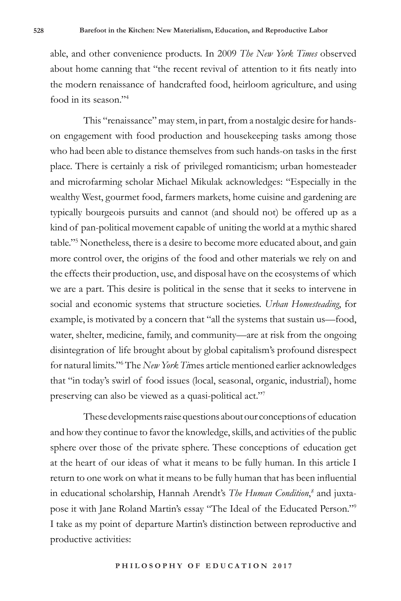able, and other convenience products. In 2009 *The New York Times* observed about home canning that "the recent revival of attention to it fits neatly into the modern renaissance of handcrafted food, heirloom agriculture, and using food in its season."4

This "renaissance" may stem, in part, from a nostalgic desire for handson engagement with food production and housekeeping tasks among those who had been able to distance themselves from such hands-on tasks in the first place. There is certainly a risk of privileged romanticism; urban homesteader and microfarming scholar Michael Mikulak acknowledges: "Especially in the wealthy West, gourmet food, farmers markets, home cuisine and gardening are typically bourgeois pursuits and cannot (and should not) be offered up as a kind of pan-political movement capable of uniting the world at a mythic shared table."5 Nonetheless, there is a desire to become more educated about, and gain more control over, the origins of the food and other materials we rely on and the effects their production, use, and disposal have on the ecosystems of which we are a part. This desire is political in the sense that it seeks to intervene in social and economic systems that structure societies. *Urban Homesteading*, for example, is motivated by a concern that "all the systems that sustain us—food, water, shelter, medicine, family, and community—are at risk from the ongoing disintegration of life brought about by global capitalism's profound disrespect for natural limits."<sup>6</sup> The *New York Ti*mes article mentioned earlier acknowledges that "in today's swirl of food issues (local, seasonal, organic, industrial), home preserving can also be viewed as a quasi-political act."7

These developments raise questions about our conceptions of education and how they continue to favor the knowledge, skills, and activities of the public sphere over those of the private sphere. These conceptions of education get at the heart of our ideas of what it means to be fully human. In this article I return to one work on what it means to be fully human that has been influential in educational scholarship, Hannah Arendt's *The Human Condition*, *8* and juxtapose it with Jane Roland Martin's essay "The Ideal of the Educated Person."9 I take as my point of departure Martin's distinction between reproductive and productive activities: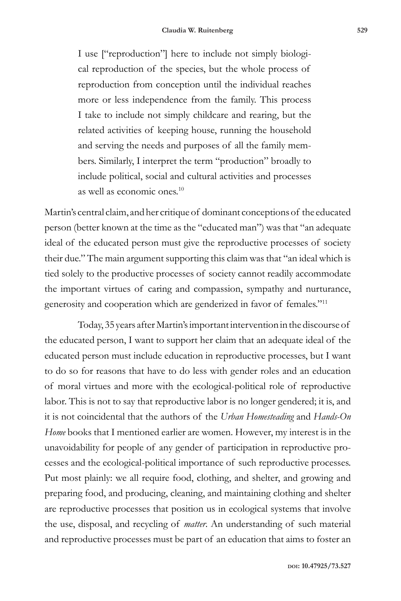I use ["reproduction"] here to include not simply biological reproduction of the species, but the whole process of reproduction from conception until the individual reaches more or less independence from the family. This process I take to include not simply childcare and rearing, but the related activities of keeping house, running the household and serving the needs and purposes of all the family members. Similarly, I interpret the term "production" broadly to include political, social and cultural activities and processes as well as economic ones.10

Martin's central claim, and her critique of dominant conceptions of the educated person (better known at the time as the "educated man") was that "an adequate ideal of the educated person must give the reproductive processes of society their due." The main argument supporting this claim was that "an ideal which is tied solely to the productive processes of society cannot readily accommodate the important virtues of caring and compassion, sympathy and nurturance, generosity and cooperation which are genderized in favor of females."11

Today, 35 years after Martin's important intervention in the discourse of the educated person, I want to support her claim that an adequate ideal of the educated person must include education in reproductive processes, but I want to do so for reasons that have to do less with gender roles and an education of moral virtues and more with the ecological-political role of reproductive labor. This is not to say that reproductive labor is no longer gendered; it is, and it is not coincidental that the authors of the *Urban Homesteading* and *Hands-On Home* books that I mentioned earlier are women. However, my interest is in the unavoidability for people of any gender of participation in reproductive processes and the ecological-political importance of such reproductive processes. Put most plainly: we all require food, clothing, and shelter, and growing and preparing food, and producing, cleaning, and maintaining clothing and shelter are reproductive processes that position us in ecological systems that involve the use, disposal, and recycling of *matter*. An understanding of such material and reproductive processes must be part of an education that aims to foster an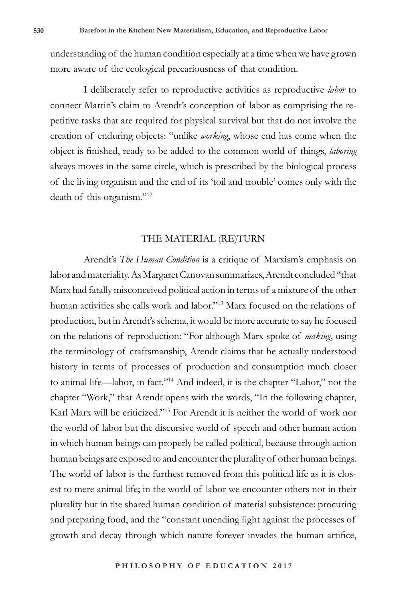understanding of the human condition especially at a time when we have grown more aware of the ecological precariousness of that condition.

I deliberately refer to reproductive activities as reproductive *labor* to connect Martin's claim to Arendt's conception of labor as comprising the repetitive tasks that are required for physical survival but that do not involve the creation of enduring objects: "unlike *working*, whose end has come when the object is finished, ready to be added to the common world of things, *laboring* always moves in the same circle, which is prescribed by the biological process of the living organism and the end of its 'toil and trouble' comes only with the death of this organism."12

#### THE MATERIAL (RE)TURN

Arendt's *The Human Condition* is a critique of Marxism's emphasis on labor and materiality. As Margaret Canovan summarizes, Arendt concluded "that Marx had fatally misconceived political action in terms of a mixture of the other human activities she calls work and labor."13 Marx focused on the relations of production, but in Arendt's schema, it would be more accurate to say he focused on the relations of reproduction: "For although Marx spoke of *making*, using the terminology of craftsmanship, Arendt claims that he actually understood history in terms of processes of production and consumption much closer to animal life—labor, in fact."14 And indeed, it is the chapter "Labor," not the chapter "Work," that Arendt opens with the words, "In the following chapter, Karl Marx will be criticized."15 For Arendt it is neither the world of work nor the world of labor but the discursive world of speech and other human action in which human beings can properly be called political, because through action human beings are exposed to and encounter the plurality of other human beings. The world of labor is the furthest removed from this political life as it is closest to mere animal life; in the world of labor we encounter others not in their plurality but in the shared human condition of material subsistence: procuring and preparing food, and the "constant unending fight against the processes of growth and decay through which nature forever invades the human artifice,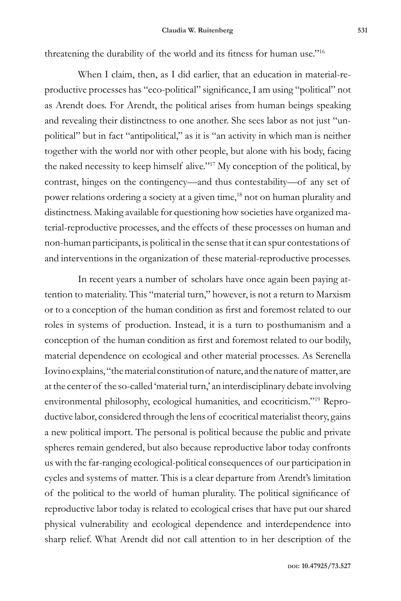threatening the durability of the world and its fitness for human use."<sup>16</sup>

When I claim, then, as I did earlier, that an education in material-reproductive processes has "eco-political" significance, I am using "political" not as Arendt does. For Arendt, the political arises from human beings speaking and revealing their distinctness to one another. She sees labor as not just "unpolitical" but in fact "antipolitical," as it is "an activity in which man is neither together with the world nor with other people, but alone with his body, facing the naked necessity to keep himself alive."17 My conception of the political, by contrast, hinges on the contingency—and thus contestability—of any set of power relations ordering a society at a given time,<sup>18</sup> not on human plurality and distinctness. Making available for questioning how societies have organized material-reproductive processes, and the effects of these processes on human and non-human participants, is political in the sense that it can spur contestations of and interventions in the organization of these material-reproductive processes.

In recent years a number of scholars have once again been paying attention to materiality. This "material turn," however, is not a return to Marxism or to a conception of the human condition as first and foremost related to our roles in systems of production. Instead, it is a turn to posthumanism and a conception of the human condition as first and foremost related to our bodily, material dependence on ecological and other material processes. As Serenella Iovino explains, "the material constitution of nature, and the nature of matter, are at the center of the so-called 'material turn,' an interdisciplinary debate involving environmental philosophy, ecological humanities, and ecocriticism."19 Reproductive labor, considered through the lens of ecocritical materialist theory, gains a new political import. The personal is political because the public and private spheres remain gendered, but also because reproductive labor today confronts us with the far-ranging ecological-political consequences of our participation in cycles and systems of matter. This is a clear departure from Arendt's limitation of the political to the world of human plurality. The political significance of reproductive labor today is related to ecological crises that have put our shared physical vulnerability and ecological dependence and interdependence into sharp relief. What Arendt did not call attention to in her description of the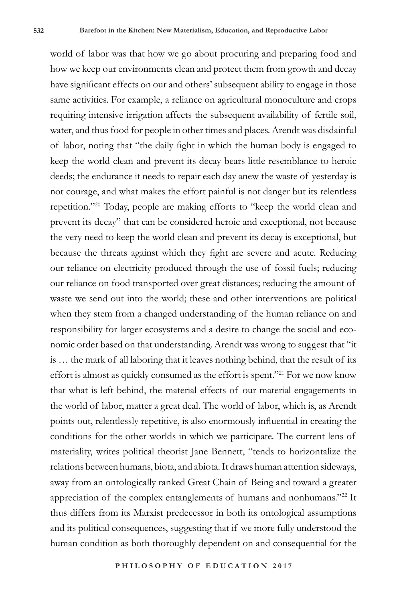world of labor was that how we go about procuring and preparing food and how we keep our environments clean and protect them from growth and decay have significant effects on our and others' subsequent ability to engage in those same activities. For example, a reliance on agricultural monoculture and crops requiring intensive irrigation affects the subsequent availability of fertile soil, water, and thus food for people in other times and places. Arendt was disdainful of labor, noting that "the daily fight in which the human body is engaged to keep the world clean and prevent its decay bears little resemblance to heroic deeds; the endurance it needs to repair each day anew the waste of yesterday is not courage, and what makes the effort painful is not danger but its relentless repetition."20 Today, people are making efforts to "keep the world clean and prevent its decay" that can be considered heroic and exceptional, not because the very need to keep the world clean and prevent its decay is exceptional, but because the threats against which they fight are severe and acute. Reducing our reliance on electricity produced through the use of fossil fuels; reducing our reliance on food transported over great distances; reducing the amount of waste we send out into the world; these and other interventions are political when they stem from a changed understanding of the human reliance on and responsibility for larger ecosystems and a desire to change the social and economic order based on that understanding. Arendt was wrong to suggest that "it is … the mark of all laboring that it leaves nothing behind, that the result of its effort is almost as quickly consumed as the effort is spent."21 For we now know that what is left behind, the material effects of our material engagements in the world of labor, matter a great deal. The world of labor, which is, as Arendt points out, relentlessly repetitive, is also enormously influential in creating the conditions for the other worlds in which we participate. The current lens of materiality, writes political theorist Jane Bennett, "tends to horizontalize the relations between humans, biota, and abiota. It draws human attention sideways, away from an ontologically ranked Great Chain of Being and toward a greater appreciation of the complex entanglements of humans and nonhumans."22 It thus differs from its Marxist predecessor in both its ontological assumptions and its political consequences, suggesting that if we more fully understood the human condition as both thoroughly dependent on and consequential for the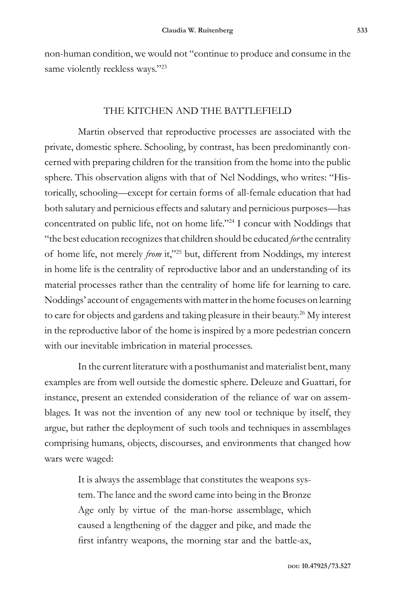non-human condition, we would not "continue to produce and consume in the same violently reckless ways."<sup>23</sup>

### THE KITCHEN AND THE BATTLEFIELD

Martin observed that reproductive processes are associated with the private, domestic sphere. Schooling, by contrast, has been predominantly concerned with preparing children for the transition from the home into the public sphere. This observation aligns with that of Nel Noddings, who writes: "Historically, schooling—except for certain forms of all-female education that had both salutary and pernicious effects and salutary and pernicious purposes—has concentrated on public life, not on home life."24 I concur with Noddings that "the best education recognizes that children should be educated *for* the centrality of home life, not merely *from* it,"25 but, different from Noddings, my interest in home life is the centrality of reproductive labor and an understanding of its material processes rather than the centrality of home life for learning to care. Noddings' account of engagements with matter in the home focuses on learning to care for objects and gardens and taking pleasure in their beauty.<sup>26</sup> My interest in the reproductive labor of the home is inspired by a more pedestrian concern with our inevitable imbrication in material processes.

In the current literature with a posthumanist and materialist bent, many examples are from well outside the domestic sphere. Deleuze and Guattari, for instance, present an extended consideration of the reliance of war on assemblages. It was not the invention of any new tool or technique by itself, they argue, but rather the deployment of such tools and techniques in assemblages comprising humans, objects, discourses, and environments that changed how wars were waged:

> It is always the assemblage that constitutes the weapons system. The lance and the sword came into being in the Bronze Age only by virtue of the man-horse assemblage, which caused a lengthening of the dagger and pike, and made the first infantry weapons, the morning star and the battle-ax,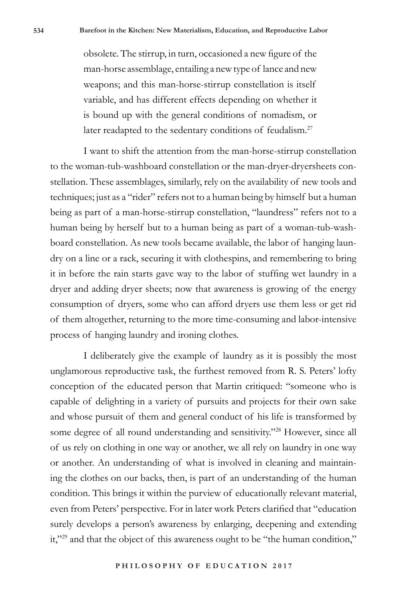obsolete. The stirrup, in turn, occasioned a new figure of the man-horse assemblage, entailing a new type of lance and new weapons; and this man-horse-stirrup constellation is itself variable, and has different effects depending on whether it is bound up with the general conditions of nomadism, or later readapted to the sedentary conditions of feudalism.<sup>27</sup>

I want to shift the attention from the man-horse-stirrup constellation to the woman-tub-washboard constellation or the man-dryer-dryersheets constellation. These assemblages, similarly, rely on the availability of new tools and techniques; just as a "rider" refers not to a human being by himself but a human being as part of a man-horse-stirrup constellation, "laundress" refers not to a human being by herself but to a human being as part of a woman-tub-washboard constellation. As new tools became available, the labor of hanging laundry on a line or a rack, securing it with clothespins, and remembering to bring it in before the rain starts gave way to the labor of stuffing wet laundry in a dryer and adding dryer sheets; now that awareness is growing of the energy consumption of dryers, some who can afford dryers use them less or get rid of them altogether, returning to the more time-consuming and labor-intensive process of hanging laundry and ironing clothes.

I deliberately give the example of laundry as it is possibly the most unglamorous reproductive task, the furthest removed from R. S. Peters' lofty conception of the educated person that Martin critiqued: "someone who is capable of delighting in a variety of pursuits and projects for their own sake and whose pursuit of them and general conduct of his life is transformed by some degree of all round understanding and sensitivity."28 However, since all of us rely on clothing in one way or another, we all rely on laundry in one way or another. An understanding of what is involved in cleaning and maintaining the clothes on our backs, then, is part of an understanding of the human condition. This brings it within the purview of educationally relevant material, even from Peters' perspective. For in later work Peters clarified that "education surely develops a person's awareness by enlarging, deepening and extending it,"29 and that the object of this awareness ought to be "the human condition,"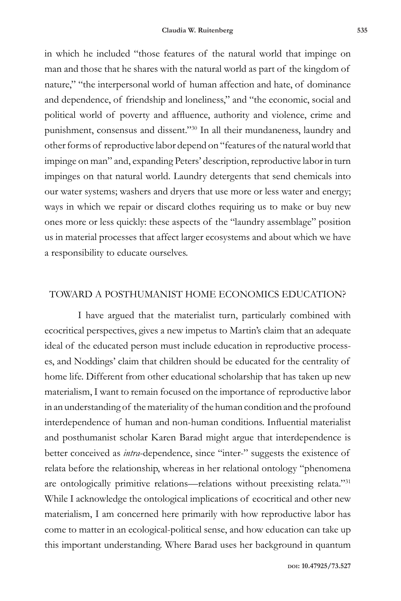in which he included "those features of the natural world that impinge on man and those that he shares with the natural world as part of the kingdom of nature," "the interpersonal world of human affection and hate, of dominance and dependence, of friendship and loneliness," and "the economic, social and political world of poverty and affluence, authority and violence, crime and punishment, consensus and dissent."<sup>30</sup> In all their mundaneness, laundry and other forms of reproductive labor depend on "features of the natural world that impinge on man" and, expanding Peters' description, reproductive labor in turn impinges on that natural world. Laundry detergents that send chemicals into our water systems; washers and dryers that use more or less water and energy; ways in which we repair or discard clothes requiring us to make or buy new ones more or less quickly: these aspects of the "laundry assemblage" position us in material processes that affect larger ecosystems and about which we have a responsibility to educate ourselves.

## TOWARD A POSTHUMANIST HOME ECONOMICS EDUCATION?

I have argued that the materialist turn, particularly combined with ecocritical perspectives, gives a new impetus to Martin's claim that an adequate ideal of the educated person must include education in reproductive processes, and Noddings' claim that children should be educated for the centrality of home life. Different from other educational scholarship that has taken up new materialism, I want to remain focused on the importance of reproductive labor in an understanding of the materiality of the human condition and the profound interdependence of human and non-human conditions. Influential materialist and posthumanist scholar Karen Barad might argue that interdependence is better conceived as *intra*-dependence, since "inter-" suggests the existence of relata before the relationship, whereas in her relational ontology "phenomena are ontologically primitive relations—relations without preexisting relata."31 While I acknowledge the ontological implications of ecocritical and other new materialism, I am concerned here primarily with how reproductive labor has come to matter in an ecological-political sense, and how education can take up this important understanding. Where Barad uses her background in quantum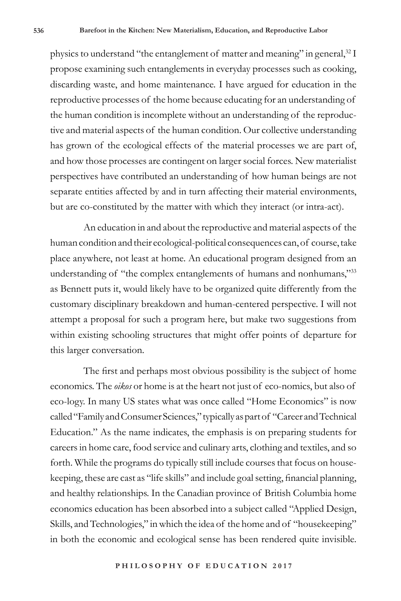physics to understand "the entanglement of matter and meaning" in general, $^{32}$  I propose examining such entanglements in everyday processes such as cooking, discarding waste, and home maintenance. I have argued for education in the reproductive processes of the home because educating for an understanding of the human condition is incomplete without an understanding of the reproductive and material aspects of the human condition. Our collective understanding has grown of the ecological effects of the material processes we are part of, and how those processes are contingent on larger social forces. New materialist perspectives have contributed an understanding of how human beings are not separate entities affected by and in turn affecting their material environments, but are co-constituted by the matter with which they interact (or intra-act).

An education in and about the reproductive and material aspects of the human condition and their ecological-political consequences can, of course, take place anywhere, not least at home. An educational program designed from an understanding of "the complex entanglements of humans and nonhumans,"33 as Bennett puts it, would likely have to be organized quite differently from the customary disciplinary breakdown and human-centered perspective. I will not attempt a proposal for such a program here, but make two suggestions from within existing schooling structures that might offer points of departure for this larger conversation.

The first and perhaps most obvious possibility is the subject of home economics. The *oikos* or home is at the heart not just of eco-nomics, but also of eco-logy. In many US states what was once called "Home Economics" is now called "Family and Consumer Sciences," typically as part of "Career and Technical Education." As the name indicates, the emphasis is on preparing students for careers in home care, food service and culinary arts, clothing and textiles, and so forth. While the programs do typically still include courses that focus on housekeeping, these are cast as "life skills" and include goal setting, financial planning, and healthy relationships. In the Canadian province of British Columbia home economics education has been absorbed into a subject called "Applied Design, Skills, and Technologies," in which the idea of the home and of "housekeeping" in both the economic and ecological sense has been rendered quite invisible.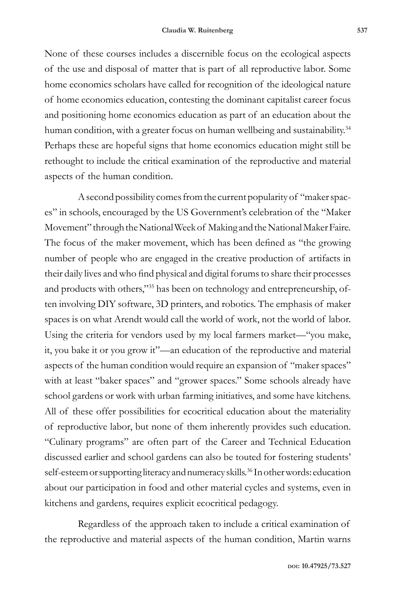None of these courses includes a discernible focus on the ecological aspects of the use and disposal of matter that is part of all reproductive labor. Some home economics scholars have called for recognition of the ideological nature of home economics education, contesting the dominant capitalist career focus and positioning home economics education as part of an education about the human condition, with a greater focus on human wellbeing and sustainability.<sup>34</sup> Perhaps these are hopeful signs that home economics education might still be rethought to include the critical examination of the reproductive and material aspects of the human condition.

A second possibility comes from the current popularity of "maker spaces" in schools, encouraged by the US Government's celebration of the "Maker Movement" through the National Week of Making and the National Maker Faire. The focus of the maker movement, which has been defined as "the growing number of people who are engaged in the creative production of artifacts in their daily lives and who find physical and digital forums to share their processes and products with others,"35 has been on technology and entrepreneurship, often involving DIY software, 3D printers, and robotics. The emphasis of maker spaces is on what Arendt would call the world of work, not the world of labor. Using the criteria for vendors used by my local farmers market—"you make, it, you bake it or you grow it"—an education of the reproductive and material aspects of the human condition would require an expansion of "maker spaces" with at least "baker spaces" and "grower spaces." Some schools already have school gardens or work with urban farming initiatives, and some have kitchens. All of these offer possibilities for ecocritical education about the materiality of reproductive labor, but none of them inherently provides such education. "Culinary programs" are often part of the Career and Technical Education discussed earlier and school gardens can also be touted for fostering students' self-esteem or supporting literacy and numeracy skills.<sup>36</sup> In other words: education about our participation in food and other material cycles and systems, even in kitchens and gardens, requires explicit ecocritical pedagogy.

Regardless of the approach taken to include a critical examination of the reproductive and material aspects of the human condition, Martin warns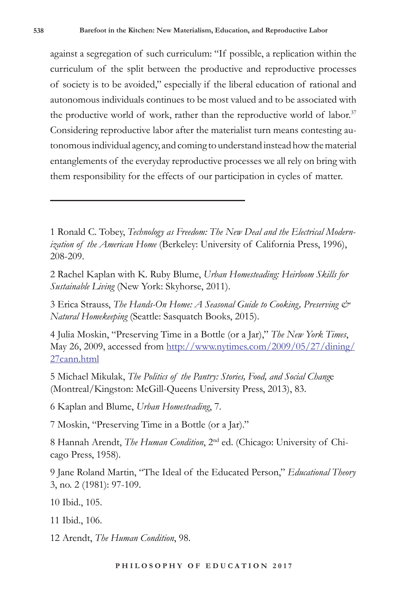against a segregation of such curriculum: "If possible, a replication within the curriculum of the split between the productive and reproductive processes of society is to be avoided," especially if the liberal education of rational and autonomous individuals continues to be most valued and to be associated with the productive world of work, rather than the reproductive world of labor.<sup>37</sup> Considering reproductive labor after the materialist turn means contesting autonomous individual agency, and coming to understand instead how the material entanglements of the everyday reproductive processes we all rely on bring with them responsibility for the effects of our participation in cycles of matter.

1 Ronald C. Tobey, *Technology as Freedom: The New Deal and the Electrical Modernization of the American Home* (Berkeley: University of California Press, 1996), 208-209.

2 Rachel Kaplan with K. Ruby Blume, *Urban Homesteading: Heirloom Skills for Sustainable Living* (New York: Skyhorse, 2011).

3 Erica Strauss, *The Hands-On Home: A Seasonal Guide to Cooking, Preserving & Natural Homekeeping* (Seattle: Sasquatch Books, 2015).

4 Julia Moskin, "Preserving Time in a Bottle (or a Jar)," *The New York Times*, May 26, 2009, accessed from http://www.nytimes.com/2009/05/27/dining/ 27cann.html

5 Michael Mikulak, *The Politics of the Pantry: Stories, Food, and Social Chang*e (Montreal/Kingston: McGill-Queens University Press, 2013), 83.

6 Kaplan and Blume, *Urban Homesteading*, 7.

7 Moskin, "Preserving Time in a Bottle (or a Jar)."

8 Hannah Arendt, *The Human Condition*, 2nd ed. (Chicago: University of Chicago Press, 1958).

9 Jane Roland Martin, "The Ideal of the Educated Person," *Educational Theory* 3, no. 2 (1981): 97-109.

10 Ibid., 105.

11 Ibid., 106.

12 Arendt, *The Human Condition*, 98.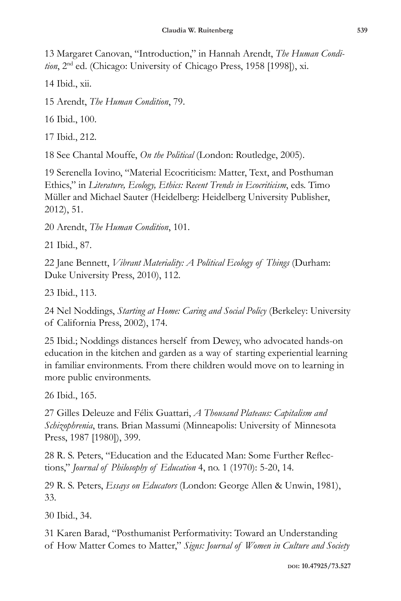13 Margaret Canovan, "Introduction," in Hannah Arendt, *The Human Condition*, 2nd ed. (Chicago: University of Chicago Press, 1958 [1998]), xi.

14 Ibid., xii.

15 Arendt, *The Human Condition*, 79.

16 Ibid., 100.

17 Ibid., 212.

18 See Chantal Mouffe, *On the Political* (London: Routledge, 2005).

19 Serenella Iovino, "Material Ecocriticism: Matter, Text, and Posthuman Ethics," in *Literature, Ecology, Ethics: Recent Trends in Ecocriticism*, eds. Timo Müller and Michael Sauter (Heidelberg: Heidelberg University Publisher, 2012), 51.

20 Arendt, *The Human Condition*, 101.

21 Ibid., 87.

22 Jane Bennett, *Vibrant Materiality: A Political Ecology of Things* (Durham: Duke University Press, 2010), 112.

23 Ibid., 113.

24 Nel Noddings, *Starting at Home: Caring and Social Policy* (Berkeley: University of California Press, 2002), 174.

25 Ibid.; Noddings distances herself from Dewey, who advocated hands-on education in the kitchen and garden as a way of starting experiential learning in familiar environments. From there children would move on to learning in more public environments.

26 Ibid., 165.

27 Gilles Deleuze and Félix Guattari, *A Thousand Plateaus: Capitalism and Schizophrenia*, trans. Brian Massumi (Minneapolis: University of Minnesota Press, 1987 [1980]), 399.

28 R. S. Peters, "Education and the Educated Man: Some Further Reflections," *Journal of Philosophy of Education* 4, no. 1 (1970): 5-20, 14.

29 R. S. Peters, *Essays on Educators* (London: George Allen & Unwin, 1981), 33.

30 Ibid., 34.

31 Karen Barad, "Posthumanist Performativity: Toward an Understanding of How Matter Comes to Matter," *Signs: Journal of Women in Culture and Society*